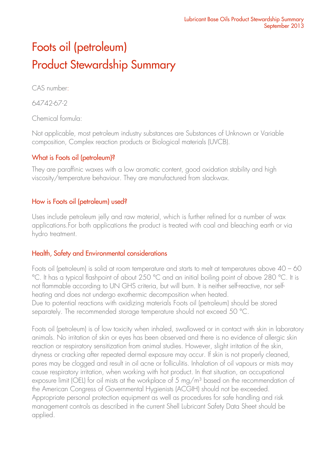# Foots oil (petroleum) Product Stewardship Summary

CAS number:

64742-67-2

Chemical formula:

Not applicable, most petroleum industry substances are Substances of Unknown or Variable composition, Complex reaction products or Biological materials (UVCB).

## What is Foots oil (petroleum)?

They are paraffinic waxes with a low aromatic content, good oxidation stability and high viscosity/temperature behaviour. They are manufactured from slackwax.

## How is Foots oil (petroleum) used?

Uses include petroleum jelly and raw material, which is further refined for a number of wax applications.For both applications the product is treated with coal and bleaching earth or via hydro treatment.

## Health, Safety and Environmental considerations

Foots oil (petroleum) is solid at room temperature and starts to melt at temperatures above 40 – 60 °C. It has a typical flashpoint of about 250 °C and an initial boiling point of above 280 °C. It is not flammable according to UN GHS criteria, but will burn. It is neither self-reactive, nor selfheating and does not undergo exothermic decomposition when heated. Due to potential reactions with oxidizing materials Foots oil (petroleum) should be stored separately. The recommended storage temperature should not exceed 50 °C.

Foots oil (petroleum) is of low toxicity when inhaled, swallowed or in contact with skin in laboratory animals. No irritation of skin or eyes has been observed and there is no evidence of allergic skin reaction or respiratory sensitization from animal studies. However, slight irritation of the skin, dryness or cracking after repeated dermal exposure may occur. If skin is not properly cleaned, pores may be clogged and result in oil acne or folliculitis. Inhalation of oil vapours or mists may cause respiratory irritation, when working with hot product. In that situation, an occupational exposure limit (OEL) for oil mists at the workplace of 5 mg/m<sup>3</sup> based on the recommendation of the American Congress of Governmental Hygienists (ACGIH) should not be exceeded. Appropriate personal protection equipment as well as procedures for safe handling and risk management controls as described in the current Shell Lubricant Safety Data Sheet should be applied.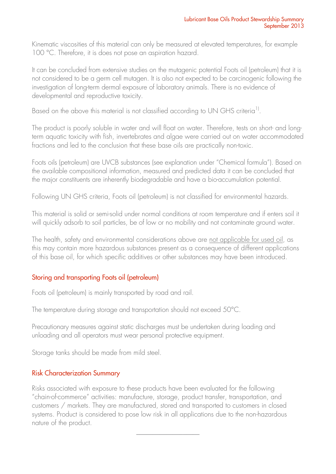Kinematic viscosities of this material can only be measured at elevated temperatures, for example 100 °C. Therefore, it is does not pose an aspiration hazard.

It can be concluded from extensive studies on the mutagenic potential Foots oil (petroleum) that it is not considered to be a germ cell mutagen. It is also not expected to be carcinogenic following the investigation of long-term dermal exposure of laboratory animals. There is no evidence of developmental and reproductive toxicity.

Based on the above this material is not classified according to UN GHS criteria<sup>1)</sup>.

The product is poorly soluble in water and will float on water. Therefore, tests on short- and longterm aquatic toxicity with fish, invertebrates and algae were carried out on water accommodated fractions and led to the conclusion that these base oils are practically non-toxic.

Foots oils (petroleum) are UVCB substances (see explanation under "Chemical formula"). Based on the available compositional information, measured and predicted data it can be concluded that the major constituents are inherently biodegradable and have a bio-accumulation potential.

Following UN GHS criteria, Foots oil (petroleum) is not classified for environmental hazards.

This material is solid or semi-solid under normal conditions at room temperature and if enters soil it will quickly adsorb to soil particles, be of low or no mobility and not contaminate ground water.

The health, safety and environmental considerations above are not applicable for used oil, as this may contain more hazardous substances present as a consequence of different applications of this base oil, for which specific additives or other substances may have been introduced.

### Storing and transporting Foots oil (petroleum)

Foots oil (petroleum) is mainly transported by road and rail.

The temperature during storage and transportation should not exceed 50°C.

Precautionary measures against static discharges must be undertaken during loading and unloading and all operators must wear personal protective equipment.

Storage tanks should be made from mild steel.

### Risk Characterization Summary

Risks associated with exposure to these products have been evaluated for the following "chain-of-commerce" activities: manufacture, storage, product transfer, transportation, and customers / markets. They are manufactured, stored and transported to customers in closed systems. Product is considered to pose low risk in all applications due to the non-hazardous nature of the product.

\_\_\_\_\_\_\_\_\_\_\_\_\_\_\_\_\_\_\_